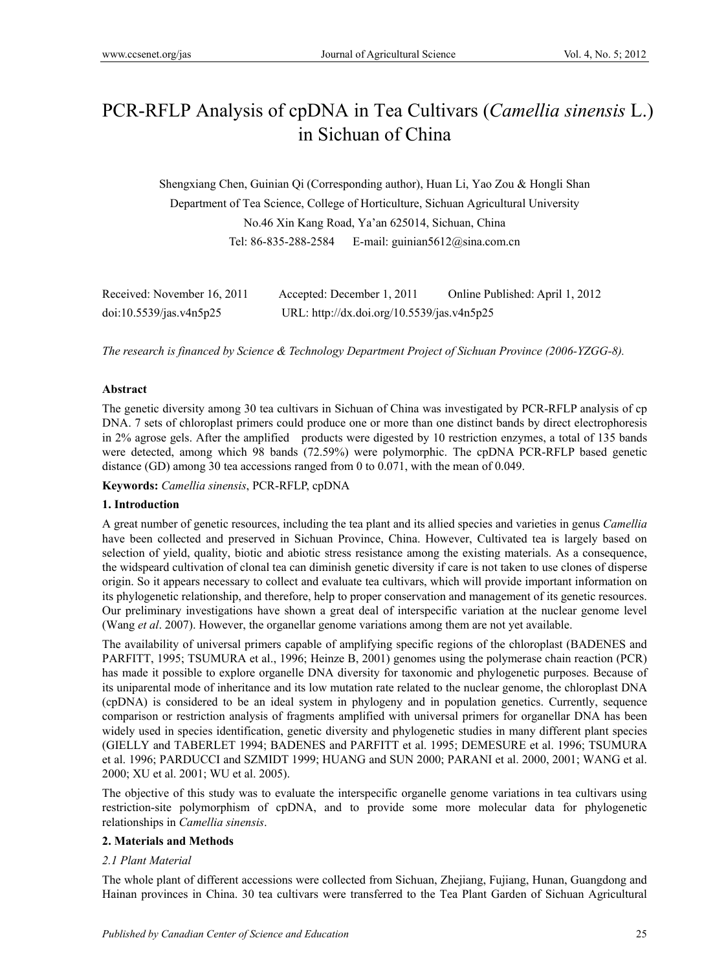# PCR-RFLP Analysis of cpDNA in Tea Cultivars (*Camellia sinensis* L.) in Sichuan of China

Shengxiang Chen, Guinian Qi (Corresponding author), Huan Li, Yao Zou & Hongli Shan Department of Tea Science, College of Horticulture, Sichuan Agricultural University No.46 Xin Kang Road, Ya'an 625014, Sichuan, China Tel: 86-835-288-2584 E-mail: guinian5612@sina.com.cn

| Received: November 16, 2011 | Accepted: December 1, 2011                 | Online Published: April 1, 2012 |
|-----------------------------|--------------------------------------------|---------------------------------|
| doi:10.5539/jas.v4n5p25     | URL: http://dx.doi.org/10.5539/jas.v4n5p25 |                                 |

*The research is financed by Science & Technology Department Project of Sichuan Province (2006-YZGG-8).*

#### **Abstract**

The genetic diversity among 30 tea cultivars in Sichuan of China was investigated by PCR-RFLP analysis of cp DNA. 7 sets of chloroplast primers could produce one or more than one distinct bands by direct electrophoresis in 2% agrose gels. After the amplified products were digested by 10 restriction enzymes, a total of 135 bands were detected, among which 98 bands (72.59%) were polymorphic. The cpDNA PCR-RFLP based genetic distance (GD) among 30 tea accessions ranged from 0 to 0.071, with the mean of 0.049.

**Keywords:** *Camellia sinensis*, PCR-RFLP, cpDNA

#### **1. Introduction**

A great number of genetic resources, including the tea plant and its allied species and varieties in genus *Camellia* have been collected and preserved in Sichuan Province, China. However, Cultivated tea is largely based on selection of yield, quality, biotic and abiotic stress resistance among the existing materials. As a consequence, the widspeard cultivation of clonal tea can diminish genetic diversity if care is not taken to use clones of disperse origin. So it appears necessary to collect and evaluate tea cultivars, which will provide important information on its phylogenetic relationship, and therefore, help to proper conservation and management of its genetic resources. Our preliminary investigations have shown a great deal of interspecific variation at the nuclear genome level (Wang *et al*. 2007). However, the organellar genome variations among them are not yet available.

The availability of universal primers capable of amplifying specific regions of the chloroplast (BADENES and PARFITT, 1995; TSUMURA et al., 1996; Heinze B, 2001) genomes using the polymerase chain reaction (PCR) has made it possible to explore organelle DNA diversity for taxonomic and phylogenetic purposes. Because of its uniparental mode of inheritance and its low mutation rate related to the nuclear genome, the chloroplast DNA (cpDNA) is considered to be an ideal system in phylogeny and in population genetics. Currently, sequence comparison or restriction analysis of fragments amplified with universal primers for organellar DNA has been widely used in species identification, genetic diversity and phylogenetic studies in many different plant species (GIELLY and TABERLET 1994; BADENES and PARFITT et al. 1995; DEMESURE et al. 1996; TSUMURA et al. 1996; PARDUCCI and SZMIDT 1999; HUANG and SUN 2000; PARANI et al. 2000, 2001; WANG et al. 2000; XU et al. 2001; WU et al. 2005).

The objective of this study was to evaluate the interspecific organelle genome variations in tea cultivars using restriction-site polymorphism of cpDNA, and to provide some more molecular data for phylogenetic relationships in *Camellia sinensis*.

#### **2. Materials and Methods**

#### *2.1 Plant Material*

The whole plant of different accessions were collected from Sichuan, Zhejiang, Fujiang, Hunan, Guangdong and Hainan provinces in China. 30 tea cultivars were transferred to the Tea Plant Garden of Sichuan Agricultural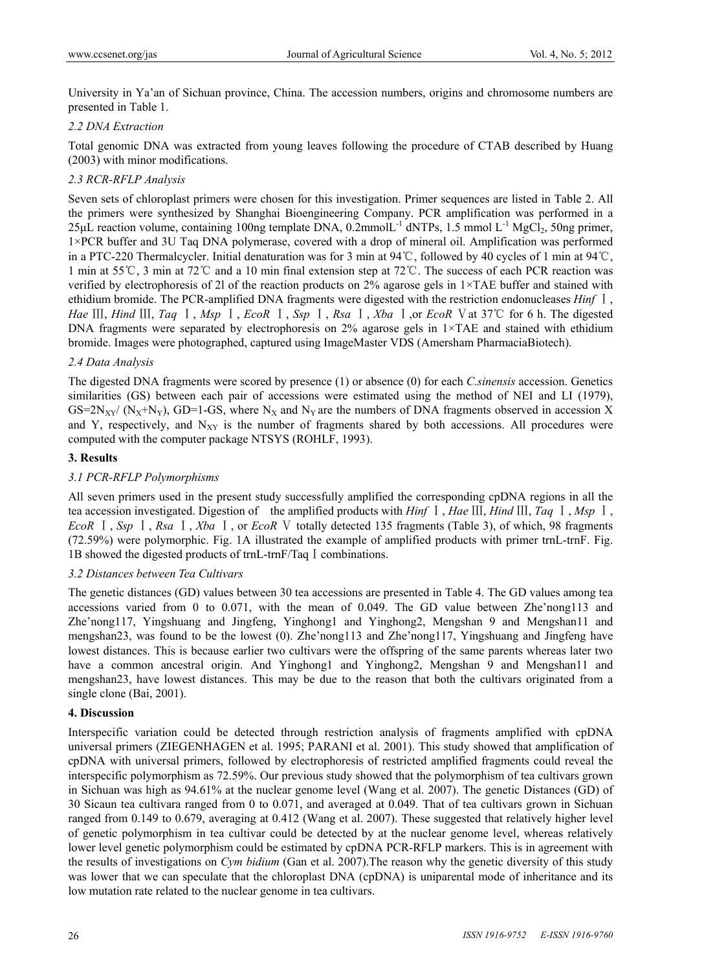University in Ya'an of Sichuan province, China. The accession numbers, origins and chromosome numbers are presented in Table 1.

# *2.2 DNA Extraction*

Total genomic DNA was extracted from young leaves following the procedure of CTAB described by Huang (2003) with minor modifications.

# *2.3 RCR-RFLP Analysis*

Seven sets of chloroplast primers were chosen for this investigation. Primer sequences are listed in Table 2. All the primers were synthesized by Shanghai Bioengineering Company. PCR amplification was performed in a  $25\mu$ L reaction volume, containing 100ng template DNA, 0.2mmolL<sup>-1</sup> dNTPs, 1.5 mmol L<sup>-1</sup> MgCl<sub>2</sub>, 50ng primer, 1×PCR buffer and 3U Taq DNA polymerase, covered with a drop of mineral oil. Amplification was performed in a PTC-220 Thermalcycler. Initial denaturation was for 3 min at 94℃, followed by 40 cycles of 1 min at 94℃, 1 min at 55℃, 3 min at 72℃ and a 10 min final extension step at 72℃. The success of each PCR reaction was verified by electrophoresis of 2l of the reaction products on 2% agarose gels in 1×TAE buffer and stained with ethidium bromide. The PCR-amplified DNA fragments were digested with the restriction endonucleases *Hinf* Ⅰ, *Hae*  $\text{III}$ , *Hind*  $\text{III}$ , *Taq*  $\text{I}$ , *Msp*  $\text{I}$ , *EcoR*  $\text{I}$ , *Ssp*  $\text{I}$ , *Rsa*  $\text{I}$ , *Xba*  $\text{I}$ , *or EcoR*  $\text{V}$  at 37°C for 6 h. The digested DNA fragments were separated by electrophoresis on  $2\%$  agarose gels in  $1\times$ TAE and stained with ethidium bromide. Images were photographed, captured using ImageMaster VDS (Amersham PharmaciaBiotech).

#### *2.4 Data Analysis*

The digested DNA fragments were scored by presence (1) or absence (0) for each *C.sinensis* accession. Genetics similarities (GS) between each pair of accessions were estimated using the method of NEI and LI (1979),  $GS=2N_{XY}/(N_X+N_Y)$ ,  $GD=1-GS$ , where  $N_X$  and  $N_Y$  are the numbers of DNA fragments observed in accession X and Y, respectively, and  $N_{XY}$  is the number of fragments shared by both accessions. All procedures were computed with the computer package NTSYS (ROHLF, 1993).

### **3. Results**

# *3.1 PCR-RFLP Polymorphisms*

All seven primers used in the present study successfully amplified the corresponding cpDNA regions in all the tea accession investigated. Digestion of the amplified products with *Hinf* <sup>Ⅰ</sup>, *Hae* III, *Hind* III, *Taq* <sup>1</sup>, *Msp* <sup>1</sup>, *EcoR* Ⅰ, *Ssp* Ⅰ, *Rsa* Ⅰ, *Xba* Ⅰ, or *EcoR* Ⅴ totally detected 135 fragments (Table 3), of which, 98 fragments (72.59%) were polymorphic. Fig. 1A illustrated the example of amplified products with primer trnL-trnF. Fig. 1B showed the digested products of trnL-trnF/Taq I combinations.

#### *3.2 Distances between Tea Cultivars*

The genetic distances (GD) values between 30 tea accessions are presented in Table 4. The GD values among tea accessions varied from 0 to 0.071, with the mean of 0.049. The GD value between Zhe'nong113 and Zhe'nong117, Yingshuang and Jingfeng, Yinghong1 and Yinghong2, Mengshan 9 and Mengshan11 and mengshan23, was found to be the lowest (0). Zhe'nong113 and Zhe'nong117, Yingshuang and Jingfeng have lowest distances. This is because earlier two cultivars were the offspring of the same parents whereas later two have a common ancestral origin. And Yinghong1 and Yinghong2, Mengshan 9 and Mengshan11 and mengshan23, have lowest distances. This may be due to the reason that both the cultivars originated from a single clone (Bai, 2001).

#### **4. Discussion**

Interspecific variation could be detected through restriction analysis of fragments amplified with cpDNA universal primers (ZIEGENHAGEN et al. 1995; PARANI et al. 2001). This study showed that amplification of cpDNA with universal primers, followed by electrophoresis of restricted amplified fragments could reveal the interspecific polymorphism as 72.59%. Our previous study showed that the polymorphism of tea cultivars grown in Sichuan was high as 94.61% at the nuclear genome level (Wang et al. 2007). The genetic Distances (GD) of 30 Sicaun tea cultivara ranged from 0 to 0.071, and averaged at 0.049. That of tea cultivars grown in Sichuan ranged from 0.149 to 0.679, averaging at 0.412 (Wang et al. 2007). These suggested that relatively higher level of genetic polymorphism in tea cultivar could be detected by at the nuclear genome level, whereas relatively lower level genetic polymorphism could be estimated by cpDNA PCR-RFLP markers. This is in agreement with the results of investigations on *Cym bidium* (Gan et al. 2007).The reason why the genetic diversity of this study was lower that we can speculate that the chloroplast DNA (cpDNA) is uniparental mode of inheritance and its low mutation rate related to the nuclear genome in tea cultivars.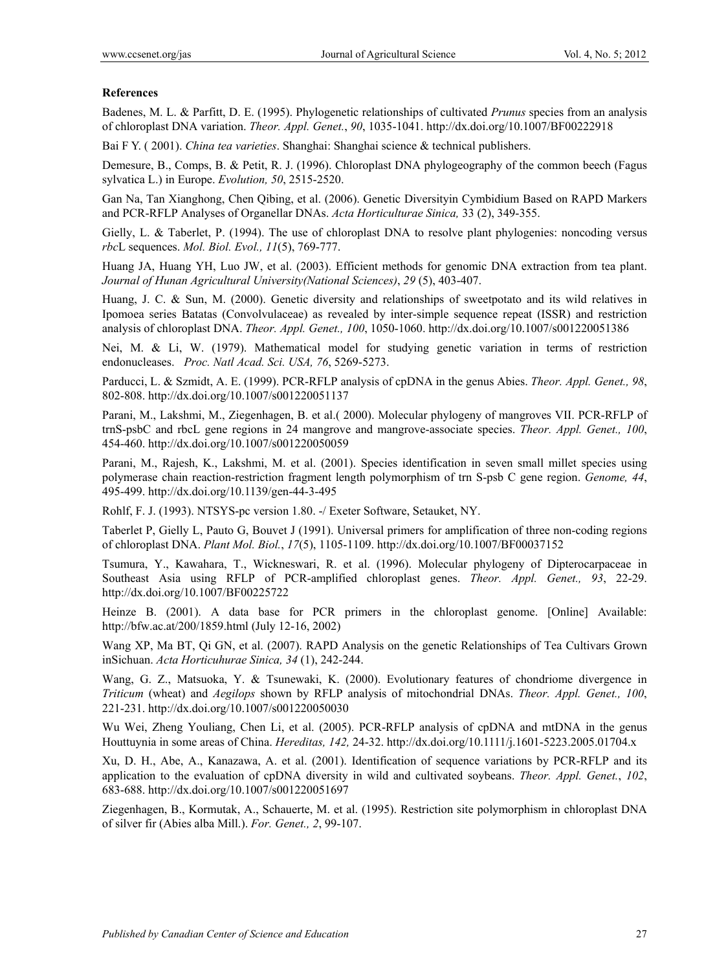### **References**

Badenes, M. L. & Parfitt, D. E. (1995). Phylogenetic relationships of cultivated *Prunus* species from an analysis of chloroplast DNA variation. *Theor. Appl. Genet.*, *90*, 1035-1041. http://dx.doi.org/10.1007/BF00222918

Bai F Y. ( 2001). *China tea varieties*. Shanghai: Shanghai science & technical publishers.

Demesure, B., Comps, B. & Petit, R. J. (1996). Chloroplast DNA phylogeography of the common beech (Fagus sylvatica L.) in Europe. *Evolution, 50*, 2515-2520.

Gan Na, Tan Xianghong, Chen Qibing, et al. (2006). Genetic Diversityin Cymbidium Based on RAPD Markers and PCR-RFLP Analyses of Organellar DNAs. *Acta Horticulturae Sinica,* 33 (2), 349-355.

Gielly, L. & Taberlet, P. (1994). The use of chloroplast DNA to resolve plant phylogenies: noncoding versus *rbc*L sequences. *Mol. Biol. Evol., 11*(5), 769-777.

Huang JA, Huang YH, Luo JW, et al. (2003). Efficient methods for genomic DNA extraction from tea plant. *Journal of Hunan Agricultural University(National Sciences)*, *29* (5), 403-407.

Huang, J. C. & Sun, M. (2000). Genetic diversity and relationships of sweetpotato and its wild relatives in Ipomoea series Batatas (Convolvulaceae) as revealed by inter-simple sequence repeat (ISSR) and restriction analysis of chloroplast DNA. *Theor. Appl. Genet., 100*, 1050-1060. http://dx.doi.org/10.1007/s001220051386

Nei, M. & Li, W. (1979). Mathematical model for studying genetic variation in terms of restriction endonucleases. / *Proc. Natl Acad. Sci. USA, 76*, 5269-5273.

Parducci, L. & Szmidt, A. E. (1999). PCR-RFLP analysis of cpDNA in the genus Abies. *Theor. Appl. Genet., 98*, 802-808. http://dx.doi.org/10.1007/s001220051137

Parani, M., Lakshmi, M., Ziegenhagen, B. et al.( 2000). Molecular phylogeny of mangroves VII. PCR-RFLP of trnS-psbC and rbcL gene regions in 24 mangrove and mangrove-associate species. *Theor. Appl. Genet., 100*, 454-460. http://dx.doi.org/10.1007/s001220050059

Parani, M., Rajesh, K., Lakshmi, M. et al. (2001). Species identification in seven small millet species using polymerase chain reaction-restriction fragment length polymorphism of trn S-psb C gene region. *Genome, 44*, 495-499. http://dx.doi.org/10.1139/gen-44-3-495

Rohlf, F. J. (1993). NTSYS-pc version 1.80. -/ Exeter Software, Setauket, NY.

Taberlet P, Gielly L, Pauto G, Bouvet J (1991). Universal primers for amplification of three non-coding regions of chloroplast DNA. *Plant Mol. Biol.*, *17*(5), 1105-1109. http://dx.doi.org/10.1007/BF00037152

Tsumura, Y., Kawahara, T., Wickneswari, R. et al. (1996). Molecular phylogeny of Dipterocarpaceae in Southeast Asia using RFLP of PCR-amplified chloroplast genes. *Theor. Appl. Genet., 93*, 22-29. http://dx.doi.org/10.1007/BF00225722

Heinze B. (2001). A data base for PCR primers in the chloroplast genome. [Online] Available: http://bfw.ac.at/200/1859.html (July 12-16, 2002)

Wang XP, Ma BT, Qi GN, et al. (2007). RAPD Analysis on the genetic Relationships of Tea Cultivars Grown inSichuan. *Acta Horticuhurae Sinica, 34* (1), 242-244.

Wang, G. Z., Matsuoka, Y. & Tsunewaki, K. (2000). Evolutionary features of chondriome divergence in *Triticum* (wheat) and *Aegilops* shown by RFLP analysis of mitochondrial DNAs. *Theor. Appl. Genet., 100*, 221-231. http://dx.doi.org/10.1007/s001220050030

Wu Wei, Zheng Youliang, Chen Li, et al. (2005). PCR-RFLP analysis of cpDNA and mtDNA in the genus Houttuynia in some areas of China. *Hereditas, 142,* 24-32. http://dx.doi.org/10.1111/j.1601-5223.2005.01704.x

Xu, D. H., Abe, A., Kanazawa, A. et al. (2001). Identification of sequence variations by PCR-RFLP and its application to the evaluation of cpDNA diversity in wild and cultivated soybeans. *Theor. Appl. Genet.*, *102*, 683-688. http://dx.doi.org/10.1007/s001220051697

Ziegenhagen, B., Kormutak, A., Schauerte, M. et al. (1995). Restriction site polymorphism in chloroplast DNA of silver fir (Abies alba Mill.). *For. Genet., 2*, 99-107.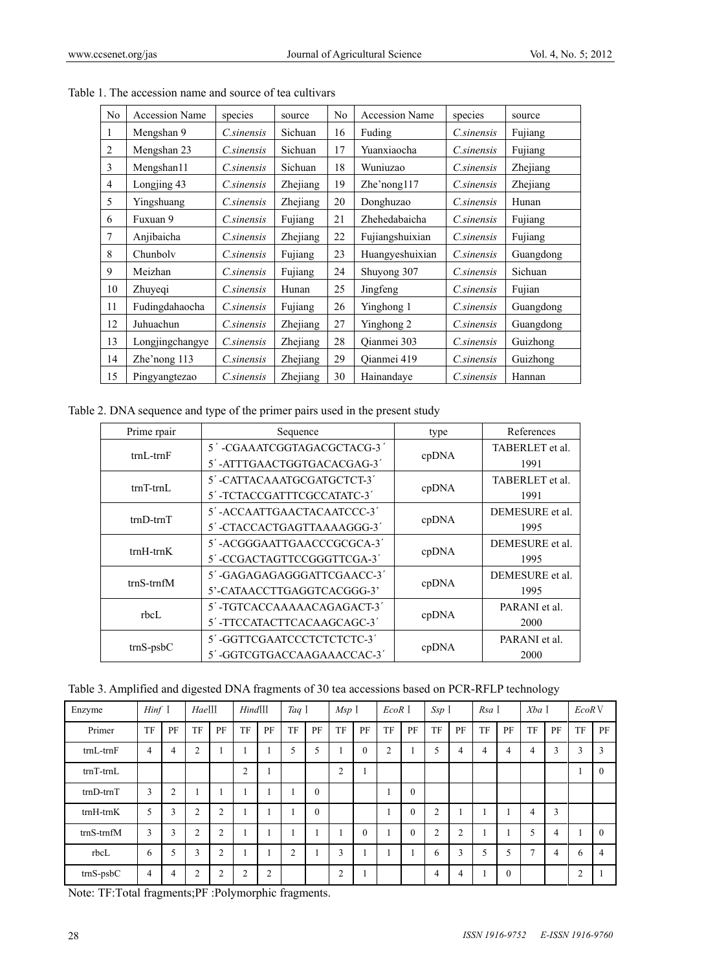| No | <b>Accession Name</b> | species           | source   | N <sub>0</sub> | <b>Accession Name</b> | species           | source          |
|----|-----------------------|-------------------|----------|----------------|-----------------------|-------------------|-----------------|
|    | Mengshan 9            | <i>C.sinensis</i> | Sichuan  | 16             | Fuding                | <i>C.sinensis</i> | Fujiang         |
| 2  | Mengshan 23           | C.sinensis        | Sichuan  | 17             | Yuanxiaocha           | <i>C.sinensis</i> | Fujiang         |
| 3  | Mengshan11            | C.sinensis        | Sichuan  | 18             | Wuniuzao              | <i>C.sinensis</i> | <b>Zhejiang</b> |
| 4  | Longjing 43           | <i>C.sinensis</i> | Zhejiang | 19             | $Zhe'$ nong117        | <i>C.sinensis</i> | Zhejiang        |
| 5  | Yingshuang            | C.sinensis        | Zhejiang | 20             | Donghuzao             | C.sinensis        | Hunan           |
| 6  | Fuxuan 9              | C.sinensis        | Fujiang  | 21             | Zhehedabaicha         | C.sinensis        | Fujiang         |
| 7  | Anjibaicha            | <i>C.sinensis</i> | Zhejiang | 22             | Fujiangshuixian       | <i>C.sinensis</i> | Fujiang         |
| 8  | Chunboly              | <i>C.sinensis</i> | Fujiang  | 23             | Huangyeshuixian       | <i>C.sinensis</i> | Guangdong       |
| 9  | Meizhan               | <i>C.sinensis</i> | Fujiang  | 24             | Shuyong 307           | <i>C.sinensis</i> | Sichuan         |
| 10 | Zhuyeqi               | C.sinensis        | Hunan    | 25             | Jingfeng              | <i>C.sinensis</i> | Fujian          |
| 11 | Fudingdahaocha        | <i>C.sinensis</i> | Fujiang  | 26             | Yinghong 1            | <i>C.sinensis</i> | Guangdong       |
| 12 | Juhuachun             | C.sinensis        | Zhejiang | 27             | Yinghong 2            | <i>C.sinensis</i> | Guangdong       |
| 13 | Longjingchangye       | <i>C.sinensis</i> | Zhejiang | 28             | Qianmei 303           | <i>C.sinensis</i> | Guizhong        |
| 14 | Zhe'nong 113          | <i>C.sinensis</i> | Zhejiang | 29             | Qianmei 419           | <i>C.sinensis</i> | Guizhong        |
| 15 | Pingyangtezao         | C.sinensis        | Zhejiang | 30             | Hainandaye            | <i>C.sinensis</i> | Hannan          |

Table 1. The accession name and source of tea cultivars

Table 2. DNA sequence and type of the primer pairs used in the present study

| Prime rpair      | Sequence                   | type  | References      |
|------------------|----------------------------|-------|-----------------|
|                  | 5'-CGAAATCGGTAGACGCTACG-3' |       | TABERLET et al. |
| $trnL-trnF$      | 5'-ATTTGAACTGGTGACACGAG-3' | cpDNA | 1991            |
|                  | 5'-CATTACAAATGCGATGCTCT-3' |       | TABERLET et al. |
| $trnT-trnL$      | 5'-TCTACCGATTTCGCCATATC-3' | cpDNA | 1991            |
|                  | 5'-ACCAATTGAACTACAATCCC-3' |       | DEMESURE et al. |
| $trn$ D- $trn$ T | 5'-CTACCACTGAGTTAAAAGGG-3' | cpDNA | 1995            |
|                  | 5'-ACGGGAATTGAACCCGCGCA-3' |       | DEMESURE et al. |
| $trnH-trnK$      | 5'-CCGACTAGTTCCGGGTTCGA-3' | cpDNA | 1995            |
|                  | 5'-GAGAGAGAGGGATTCGAACC-3' |       | DEMESURE et al. |
| $trnS-trnfM$     | 5'-CATAACCTTGAGGTCACGGG-3' | cpDNA | 1995            |
|                  | 5'-TGTCACCAAAAACAGAGACT-3' |       | PARANI et al.   |
| rbcl.            | 5'-TTCCATACTTCACAAGCAGC-3' | cpDNA | 2000            |
|                  | 5'-GGTTCGAATCCCTCTCTCTC-3' |       | PARANI et al.   |
| $trnS-psbC$      | 5'-GGTCGTGACCAAGAAACCAC-3' | cpDNA | 2000            |

Table 3. Amplified and digested DNA fragments of 30 tea accessions based on PCR-RFLP technology

| Enzyme             | $Hint$ $\overline{I}$ |                | $Hae$ <sup>III</sup> |                | $Hind$ III     |                | Taq I          |          | Msp <sub>1</sub> |                | EcoR I |              | Ssp I          |                | Rsa I          |              | $Xba$ I        |    | EcoR <sub>V</sub> |                |  |
|--------------------|-----------------------|----------------|----------------------|----------------|----------------|----------------|----------------|----------|------------------|----------------|--------|--------------|----------------|----------------|----------------|--------------|----------------|----|-------------------|----------------|--|
| Primer             | TF                    | PF             | TF                   | PF             | TF             | PF             | TF             | PF       | <b>TF</b>        | PF             | TF     | PF           | TF             | PF             | <b>TF</b>      | PF           | TF             | PF | TF                | PF             |  |
| $trnL$ - $trnF$    | 4                     | 4              | $\overline{2}$       |                |                |                | 5              | 5        |                  | $\overline{0}$ | 2      |              | 5              | 4              | $\overline{4}$ | 4            | 4              | 3  | 3                 | 3              |  |
| $trnT-trnL$        |                       |                |                      |                | $\overline{2}$ |                |                |          | $\overline{2}$   |                |        |              |                |                |                |              |                |    |                   | $\theta$       |  |
| $trnD-trnT$        | 3                     | $\overline{2}$ |                      |                |                |                |                | $\theta$ |                  |                |        | $\mathbf{0}$ |                |                |                |              |                |    |                   |                |  |
| $trnH-trnK$        | 5                     | 3              | $\overline{2}$       | 2              |                |                |                | $\theta$ |                  |                |        | $\mathbf{0}$ | $\overline{2}$ |                |                |              | 4              | 3  |                   |                |  |
| $trnS-trnfM$       | 3                     | 3              | 2                    | 2              | 1              |                |                |          |                  | $\mathbf{0}$   |        | $\mathbf{0}$ | $\overline{2}$ | $\overline{2}$ |                |              | 5              | 4  |                   | $\Omega$       |  |
| rbcL               | 6                     | 5              | 3                    | 2              | 1              |                | $\overline{2}$ |          | 3                |                |        |              | 6              | 3              | 5              | 5            | $\overline{7}$ | 4  | 6                 | $\overline{4}$ |  |
| $\text{trnS-psbC}$ | 4                     | 4              | $\overline{c}$       | $\overline{2}$ | $\overline{2}$ | $\overline{2}$ |                |          | $\overline{c}$   |                |        |              | $\overline{4}$ | 4              |                | $\mathbf{0}$ |                |    | $\overline{2}$    |                |  |

Note: TF:Total fragments;PF :Polymorphic fragments.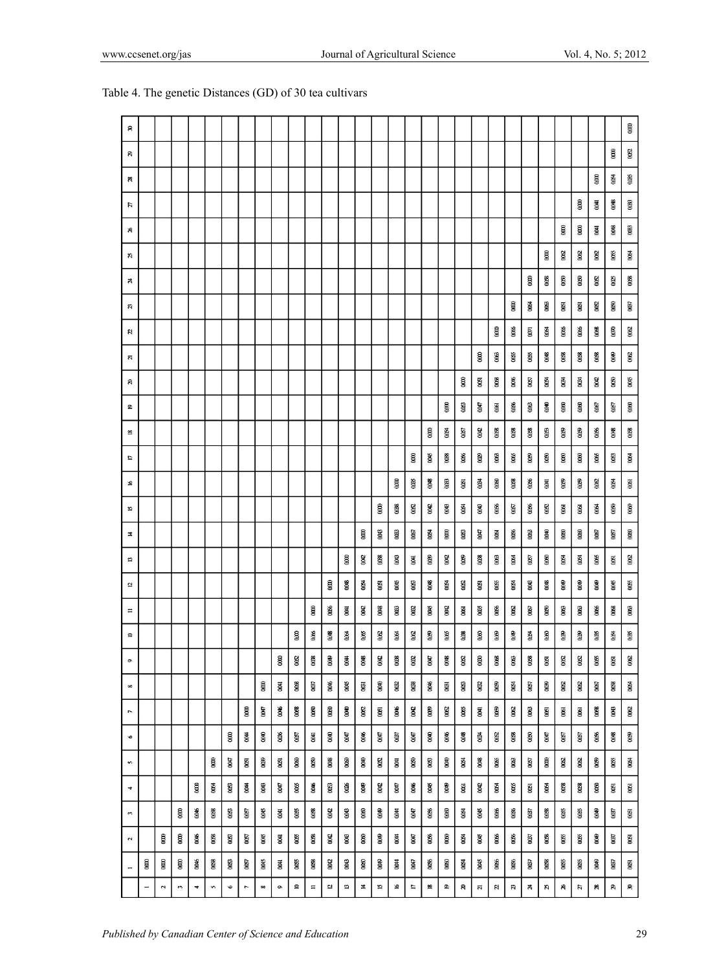| я                        |      |                            |          |                      |              |           |                          |             |                         |              |          |       |            |      |                       |             |             |              |                        |             |                 |                            |         |            |                         |                 |             |                |                            | 0000        |
|--------------------------|------|----------------------------|----------|----------------------|--------------|-----------|--------------------------|-------------|-------------------------|--------------|----------|-------|------------|------|-----------------------|-------------|-------------|--------------|------------------------|-------------|-----------------|----------------------------|---------|------------|-------------------------|-----------------|-------------|----------------|----------------------------|-------------|
| B                        |      |                            |          |                      |              |           |                          |             |                         |              |          |       |            |      |                       |             |             |              |                        |             |                 |                            |         |            |                         |                 |             |                | 000                        | $0002$      |
| æ                        |      |                            |          |                      |              |           |                          |             |                         |              |          |       |            |      |                       |             |             |              |                        |             |                 |                            |         |            |                         |                 |             | acoo           | 8                          | 0085        |
| u                        |      |                            |          |                      |              |           |                          |             |                         |              |          |       |            |      |                       |             |             |              |                        |             |                 |                            |         |            |                         |                 | 8000        | 0041           | 0048                       | œo          |
| æ                        |      |                            |          |                      |              |           |                          |             |                         |              |          |       |            |      |                       |             |             |              |                        |             |                 |                            |         |            |                         | $0000$          | 0000        | $\overline{a}$ | 0.048                      | 003         |
| ĸ                        |      |                            |          |                      |              |           |                          |             |                         |              |          |       |            |      |                       |             |             |              |                        |             |                 |                            |         |            | 8                       | 0002            | 002         | 0002           | 0085                       | 884         |
| ¥,                       |      |                            |          |                      |              |           |                          |             |                         |              |          |       |            |      |                       |             |             |              |                        |             |                 |                            |         | 000        | 0008                    | 0000            | 0000        | $00\Omega$     | 0025                       | 008         |
| a                        |      |                            |          |                      |              |           |                          |             |                         |              |          |       |            |      |                       |             |             |              |                        |             |                 |                            | 0000    | \$         | 0063                    | 0061            | 0051        | 0052           | 0000                       | $000\,$     |
| и                        |      |                            |          |                      |              |           |                          |             |                         |              |          |       |            |      |                       |             |             |              |                        |             |                 | $\mathfrak{a}\mathfrak{a}$ | 0066    | <b>COD</b> | ğ                       | 0066            | 00%         | $008$          | $\mathfrak{a}\mathfrak{w}$ | $00\Omega$  |
| ű                        |      |                            |          |                      |              |           |                          |             |                         |              |          |       |            |      |                       |             |             |              |                        |             | 0000            | 0063                       | 0055    | 0065       | 880                     | $rac{8}{2}$     | <b>OOSB</b> | 0088           | 6000                       | $rac{1}{2}$ |
| æ                        |      |                            |          |                      |              |           |                          |             |                         |              |          |       |            |      |                       |             |             |              |                        |             | 0051            | 0088                       | 00%     | $0057$     | 88                      | 0034            | 0034        | 0042           | 0000                       | 800         |
| $\mathbf{Q}$             |      |                            |          |                      |              |           |                          |             |                         |              |          |       |            |      |                       |             |             |              | 0000                   | 003         | 0047            | 0061                       | 0066    | 000        | 800                     | 0000            | 0000        | $0067\,$       | 0057                       | 000         |
| 18                       |      |                            |          |                      |              |           |                          |             |                         |              |          |       |            |      |                       |             |             | œœ           | 8                      | 000         | 0002            | 0068                       | 0008    | 0008       | GOO                     | 0009            | 6000        | 0066           | 0048                       | 0008        |
| IJ                       |      |                            |          |                      |              |           |                          |             |                         |              |          |       |            |      |                       |             | $_{000}$    | <b>GRO</b>   | 0038                   | 0066        | $_{\text{000}}$ | 003                        | $0066$  | 880        | 880                     | 000             | 880         | 0065           | 005                        | 88          |
| 9                        |      |                            |          |                      |              |           |                          |             |                         |              |          |       |            |      |                       | 0000        | 0035        | 0048         | $000$                  | 0261        | 0034            | 0000                       | $0088$  | 0006       | $\overline{a}$          | 6               | 009         | $0002$         | 8                          | 0061        |
| 75                       |      |                            |          |                      |              |           |                          |             |                         |              |          |       |            |      | 8                     | <b>OOBS</b> | 0002        | 0042         | 880                    | 0054        | 880             | 0066                       | $0057$  | 0066       | 0002                    | 0061            | 0061        | 0064           | 000                        | 0000        |
| Ħ,                       |      |                            |          |                      |              |           |                          |             |                         |              |          |       |            | 000  | <b>GKO</b>            | $003$       | 0067        | 0064         | 000                    | 003         | 00H7            | <b>ODSI</b>                | 0066    | 0063       | 600                     | 0000            | 0060        | $0057$         | 000                        | 000         |
| IJ                       |      |                            |          |                      |              |           |                          |             |                         |              |          |       | $_{0000}$  | 000  | OOBS                  | 0043        | <b>BOO</b>  | œ            | 0002                   | 6000        | 0038            | <b>GRO</b>                 | 0064    | 0057       | 880                     | Š               | 0064        | $0066$         | 0051                       | 002         |
| 5                        |      |                            |          |                      |              |           |                          |             |                         |              |          | 0000  | 0018       | 0054 | 0051                  | 0045        | 0063        | 0008         | 0054                   | $rac{1}{2}$ | 0051            | <b>OOSS</b>                | 0064    | <b>GKO</b> | 00048                   | 0000            | 0000        | 6000           | 0045                       | 0055        |
| $\equiv$                 |      |                            |          |                      |              |           |                          |             |                         |              | $\sin$   | 0066  | 0041       | 000  | 004S                  | $rac{1}{2}$ | 002         | 0045         | 000                    | 0061        | 005             | 0066                       | 0002    | $000$      | 0000                    | 800             | $0063$      | 0066           | $0068$                     | 006         |
| $\mathrel{\mathsf{e}}$   |      |                            |          |                      |              |           |                          |             |                         | 000          | 006      | 0.048 | Ø.         | 0065 | $\frac{3}{2}$         | 8           | $rac{1}{2}$ | Đ            | <b>QOS</b>             | QBS         | 0060            | GCO                        | exo     | Ø.         | 8                       | OB <sub>9</sub> | 009         | <b>QBS</b>     | QC54                       | 005         |
| $\circ$                  |      |                            |          |                      |              |           |                          |             | $000$                   | 0002         | $008$    | 0049  | $\epsilon$ | 0048 | 300                   | 008         | $rac{1}{2}$ | 0047         | OOKS                   | 0002        | 0000            | $0068$                     | $003\,$ | 008        | $\overline{8}$          | 0002            | 0002        | 005            | 0051                       | $002$       |
| $\infty$                 |      |                            |          |                      |              |           |                          | 0000        | <b>B00</b>              | 0008         | $000\,$  | 0006  | 0005       | 600  | 600                   | 0002        | 0038        | 0006         | 0031                   | 800         | $rac{1}{2}$     | 880                        | 884     | 0007       | 600                     | 0002            | $rac{1}{2}$ | $0007$         | 0088                       | 88          |
| $\overline{\phantom{a}}$ |      |                            |          |                      |              |           | 0000                     | <b>CHOO</b> | 0046                    | 0008         | 0000     | 0050  | 0000       | 0002 | $\overline{\text{8}}$ | 0046        | 000         | 6000         | $000\,$                | 005         | $\overline{4}$  | 009                        | 0002    | $000$      | $\overline{\mathbf{g}}$ | 0061            | 0061        | $0008$         | 000                        | 002         |
| $\bullet$                |      |                            |          |                      |              | 0000      | 0044                     | 0000        | $60\%$                  | 0007         | 0041     | 0000  | CB00       | 9800 | 000                   | 0037        | <b>CKKO</b> | 0000         | 0006                   | 0048        | 0034            | 0002                       | 0088    | 000        | 097                     | 0007            | 0057        | 0006           | 0048                       | 600         |
| s                        |      |                            |          |                      | $_{\rm 000}$ | CR00      | 0051                     | 6000        | $600\,$                 | 0000         | 0000     | 0048  | 0000       | 0000 | 330                   | <b>IROO</b> | 000         | 8900         | 0000                   | 88          | 8000            | 0065                       | $0063$  | $0007$     | $\mathbf{g}$            | 0002            | 002         | 8              | 0065                       | 88          |
| 4                        |      |                            |          | 0000                 | 800          | 0063      | 0044                     | 8000        | (000)                   | 0065         | 0000     | 0063  | 0006       | 6600 | 380                   | 0047        | 0006        | 0045         | 600                    | $0061$      | 0000            | 0064                       | 0065    | 0051       | 88                      | 0008            | 0058        | 0000           | 0051                       | 0061        |
| 3                        |      |                            | 8        | 000KG                | $0008$       | 0063      | 0007                     | 0045        | <b>E</b>                | 0055         | $0008$   | 0042  | 880        | 000  | æ                     | 0044        | 0047        | 0056         | $\mathbf{\mathcal{G}}$ | 880         | 0045            | 0066                       | 0006    | 000        | 8000                    | 8900            | 0065        | 6000           | $000\,$                    | 8           |
| 2                        |      | 000                        | 000      | OOK                  | $008$        | 005       | $000\,$                  | 0045        | $\overline{a}$          | 0065         | $008$    | 0042  | 800        | 0000 | <b>9800</b>           | 0044        | <b>CROO</b> | 00%          | 000                    | 00G         | 0045            | 0066                       | 0006    | LEDO       | $008$                   | <b>ano</b>      | 0055        | 6400           | 0007                       | $600$       |
| $\overline{a}$           | 0000 | $^{\rm 60}$                | $000$    | 00M6                 | $008$        | 0063      | $000\,$                  | 0045        | $\overline{\mathbf{g}}$ | 0065         | 0068     | CRO   | 600        | 0000 | <b>GROD</b>           | 0044        | CRO0        | 00%          | 000                    | 0064        | 0045            | 0066                       | 0066    | 0037       | 8                       | 0065            | 0065        | 0000           | CEO                        | 0051        |
|                          | ÷    | $\boldsymbol{\mathcal{L}}$ | $\omega$ | $\blacktriangledown$ | s            | $\bullet$ | $\overline{\phantom{a}}$ | $\infty$    | $\bullet$               | $\mathbf{r}$ | $\equiv$ | L7    | IJ         | Ħ,   | 51                    | S,          | n           | $\mathbf{R}$ | $\pmb{\mathfrak{D}}$   | S,          | 21              | я                          | n       | Ŕ          | ø,                      | x               | u           | æ              | R.                         | 8           |

# Table 4. The genetic Distances (GD) of 30 tea cultivars